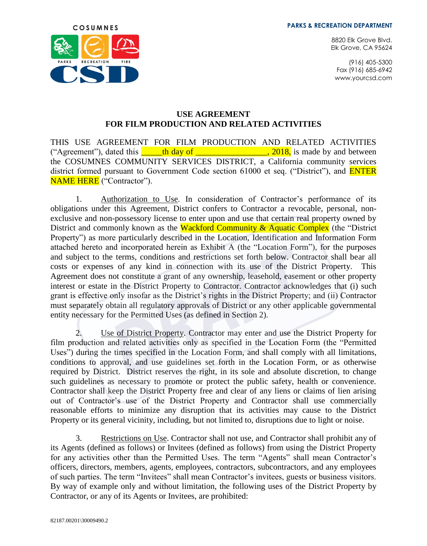8820 Elk Grove Blvd. Elk Grove, CA 95624

(916) 405-5300 Fax (916) 685-6942 www.yourcsd.com



#### **USE AGREEMENT FOR FILM PRODUCTION AND RELATED ACTIVITIES**

THIS USE AGREEMENT FOR FILM PRODUCTION AND RELATED ACTIVITIES ("Agreement"), dated this  $\frac{1}{2}$  th day of  $\frac{1}{2}$ , 2018, is made by and between the COSUMNES COMMUNITY SERVICES DISTRICT, a California community services district formed pursuant to Government Code section 61000 et seq. ("District"), and **ENTER** NAME HERE ("Contractor").

1. Authorization to Use. In consideration of Contractor's performance of its obligations under this Agreement, District confers to Contractor a revocable, personal, nonexclusive and non-possessory license to enter upon and use that certain real property owned by District and commonly known as the Wackford Community & Aquatic Complex (the "District Property") as more particularly described in the Location, Identification and Information Form attached hereto and incorporated herein as Exhibit A (the "Location Form"), for the purposes and subject to the terms, conditions and restrictions set forth below. Contractor shall bear all costs or expenses of any kind in connection with its use of the District Property. This Agreement does not constitute a grant of any ownership, leasehold, easement or other property interest or estate in the District Property to Contractor. Contractor acknowledges that (i) such grant is effective only insofar as the District's rights in the District Property; and (ii) Contractor must separately obtain all regulatory approvals of District or any other applicable governmental entity necessary for the Permitted Uses (as defined in Section [2\)](#page-0-0).

<span id="page-0-0"></span>2. Use of District Property. Contractor may enter and use the District Property for film production and related activities only as specified in the Location Form (the "Permitted Uses") during the times specified in the Location Form, and shall comply with all limitations, conditions to approval, and use guidelines set forth in the Location Form, or as otherwise required by District. District reserves the right, in its sole and absolute discretion, to change such guidelines as necessary to promote or protect the public safety, health or convenience. Contractor shall keep the District Property free and clear of any liens or claims of lien arising out of Contractor's use of the District Property and Contractor shall use commercially reasonable efforts to minimize any disruption that its activities may cause to the District Property or its general vicinity, including, but not limited to, disruptions due to light or noise.

3. Restrictions on Use. Contractor shall not use, and Contractor shall prohibit any of its Agents (defined as follows) or Invitees (defined as follows) from using the District Property for any activities other than the Permitted Uses. The term "Agents" shall mean Contractor's officers, directors, members, agents, employees, contractors, subcontractors, and any employees of such parties. The term "Invitees" shall mean Contractor's invitees, guests or business visitors. By way of example only and without limitation, the following uses of the District Property by Contractor, or any of its Agents or Invitees, are prohibited: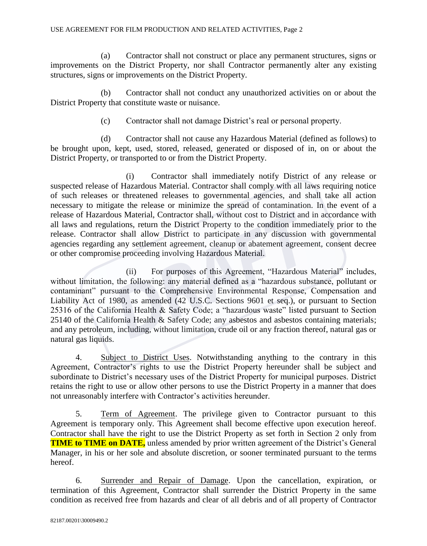(a) Contractor shall not construct or place any permanent structures, signs or improvements on the District Property, nor shall Contractor permanently alter any existing structures, signs or improvements on the District Property.

(b) Contractor shall not conduct any unauthorized activities on or about the District Property that constitute waste or nuisance.

(c) Contractor shall not damage District's real or personal property.

(d) Contractor shall not cause any Hazardous Material (defined as follows) to be brought upon, kept, used, stored, released, generated or disposed of in, on or about the District Property, or transported to or from the District Property.

(i) Contractor shall immediately notify District of any release or suspected release of Hazardous Material. Contractor shall comply with all laws requiring notice of such releases or threatened releases to governmental agencies, and shall take all action necessary to mitigate the release or minimize the spread of contamination. In the event of a release of Hazardous Material, Contractor shall, without cost to District and in accordance with all laws and regulations, return the District Property to the condition immediately prior to the release. Contractor shall allow District to participate in any discussion with governmental agencies regarding any settlement agreement, cleanup or abatement agreement, consent decree or other compromise proceeding involving Hazardous Material.

(ii) For purposes of this Agreement, "Hazardous Material" includes, without limitation, the following: any material defined as a "hazardous substance, pollutant or contaminant" pursuant to the Comprehensive Environmental Response, Compensation and Liability Act of 1980, as amended (42 U.S.C. Sections 9601 et seq.), or pursuant to Section 25316 of the California Health & Safety Code; a "hazardous waste" listed pursuant to Section 25140 of the California Health & Safety Code; any asbestos and asbestos containing materials; and any petroleum, including, without limitation, crude oil or any fraction thereof, natural gas or natural gas liquids.

4. Subject to District Uses. Notwithstanding anything to the contrary in this Agreement, Contractor's rights to use the District Property hereunder shall be subject and subordinate to District's necessary uses of the District Property for municipal purposes. District retains the right to use or allow other persons to use the District Property in a manner that does not unreasonably interfere with Contractor's activities hereunder.

5. Term of Agreement. The privilege given to Contractor pursuant to this Agreement is temporary only. This Agreement shall become effective upon execution hereof. Contractor shall have the right to use the District Property as set forth in Section [2](#page-0-0) only from **TIME** to **TIME** on **DATE**, unless amended by prior written agreement of the District's General Manager, in his or her sole and absolute discretion, or sooner terminated pursuant to the terms hereof.

6. Surrender and Repair of Damage. Upon the cancellation, expiration, or termination of this Agreement, Contractor shall surrender the District Property in the same condition as received free from hazards and clear of all debris and of all property of Contractor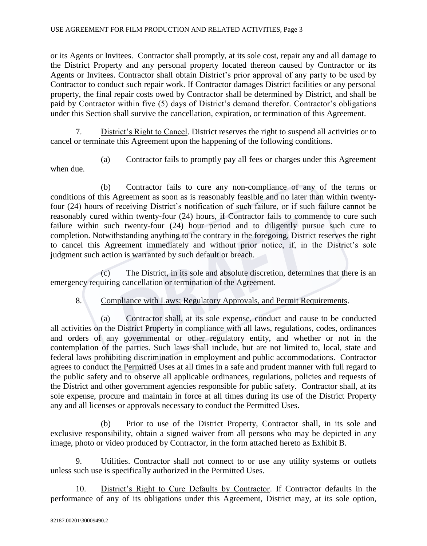or its Agents or Invitees. Contractor shall promptly, at its sole cost, repair any and all damage to the District Property and any personal property located thereon caused by Contractor or its Agents or Invitees. Contractor shall obtain District's prior approval of any party to be used by Contractor to conduct such repair work. If Contractor damages District facilities or any personal property, the final repair costs owed by Contractor shall be determined by District, and shall be paid by Contractor within five (5) days of District's demand therefor. Contractor's obligations under this Section shall survive the cancellation, expiration, or termination of this Agreement.

7. District's Right to Cancel. District reserves the right to suspend all activities or to cancel or terminate this Agreement upon the happening of the following conditions.

(a) Contractor fails to promptly pay all fees or charges under this Agreement when due.

(b) Contractor fails to cure any non-compliance of any of the terms or conditions of this Agreement as soon as is reasonably feasible and no later than within twentyfour (24) hours of receiving District's notification of such failure, or if such failure cannot be reasonably cured within twenty-four (24) hours, if Contractor fails to commence to cure such failure within such twenty-four (24) hour period and to diligently pursue such cure to completion. Notwithstanding anything to the contrary in the foregoing, District reserves the right to cancel this Agreement immediately and without prior notice, if, in the District's sole judgment such action is warranted by such default or breach.

(c) The District, in its sole and absolute discretion, determines that there is an emergency requiring cancellation or termination of the Agreement.

8. Compliance with Laws; Regulatory Approvals, and Permit Requirements.

(a) Contractor shall, at its sole expense, conduct and cause to be conducted all activities on the District Property in compliance with all laws, regulations, codes, ordinances and orders of any governmental or other regulatory entity, and whether or not in the contemplation of the parties. Such laws shall include, but are not limited to, local, state and federal laws prohibiting discrimination in employment and public accommodations. Contractor agrees to conduct the Permitted Uses at all times in a safe and prudent manner with full regard to the public safety and to observe all applicable ordinances, regulations, policies and requests of the District and other government agencies responsible for public safety. Contractor shall, at its sole expense, procure and maintain in force at all times during its use of the District Property any and all licenses or approvals necessary to conduct the Permitted Uses.

(b) Prior to use of the District Property, Contractor shall, in its sole and exclusive responsibility, obtain a signed waiver from all persons who may be depicted in any image, photo or video produced by Contractor, in the form attached hereto as Exhibit B.

9. Utilities. Contractor shall not connect to or use any utility systems or outlets unless such use is specifically authorized in the Permitted Uses.

10. District's Right to Cure Defaults by Contractor. If Contractor defaults in the performance of any of its obligations under this Agreement, District may, at its sole option,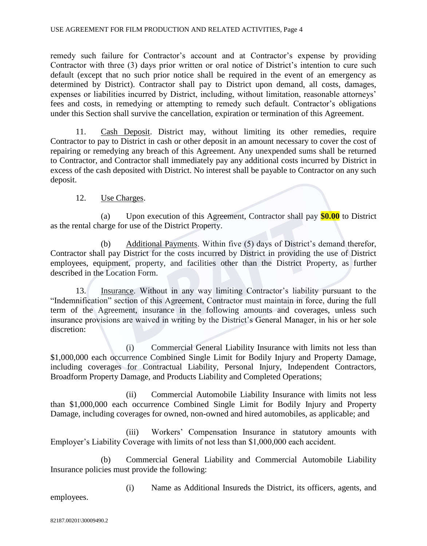remedy such failure for Contractor's account and at Contractor's expense by providing Contractor with three (3) days prior written or oral notice of District's intention to cure such default (except that no such prior notice shall be required in the event of an emergency as determined by District). Contractor shall pay to District upon demand, all costs, damages, expenses or liabilities incurred by District, including, without limitation, reasonable attorneys' fees and costs, in remedying or attempting to remedy such default. Contractor's obligations under this Section shall survive the cancellation, expiration or termination of this Agreement.

11. Cash Deposit. District may, without limiting its other remedies, require Contractor to pay to District in cash or other deposit in an amount necessary to cover the cost of repairing or remedying any breach of this Agreement. Any unexpended sums shall be returned to Contractor, and Contractor shall immediately pay any additional costs incurred by District in excess of the cash deposited with District. No interest shall be payable to Contractor on any such deposit.

### 12. Use Charges.

(a) Upon execution of this Agreement, Contractor shall pay **\$0.00** to District as the rental charge for use of the District Property.

(b) Additional Payments. Within five (5) days of District's demand therefor, Contractor shall pay District for the costs incurred by District in providing the use of District employees, equipment, property, and facilities other than the District Property, as further described in the Location Form.

13. Insurance. Without in any way limiting Contractor's liability pursuant to the "Indemnification" section of this Agreement, Contractor must maintain in force, during the full term of the Agreement, insurance in the following amounts and coverages, unless such insurance provisions are waived in writing by the District's General Manager, in his or her sole discretion:

(i) Commercial General Liability Insurance with limits not less than \$1,000,000 each occurrence Combined Single Limit for Bodily Injury and Property Damage, including coverages for Contractual Liability, Personal Injury, Independent Contractors, Broadform Property Damage, and Products Liability and Completed Operations;

(ii) Commercial Automobile Liability Insurance with limits not less than \$1,000,000 each occurrence Combined Single Limit for Bodily Injury and Property Damage, including coverages for owned, non-owned and hired automobiles, as applicable; and

(iii) Workers' Compensation Insurance in statutory amounts with Employer's Liability Coverage with limits of not less than \$1,000,000 each accident.

(b) Commercial General Liability and Commercial Automobile Liability Insurance policies must provide the following:

(i) Name as Additional Insureds the District, its officers, agents, and

employees.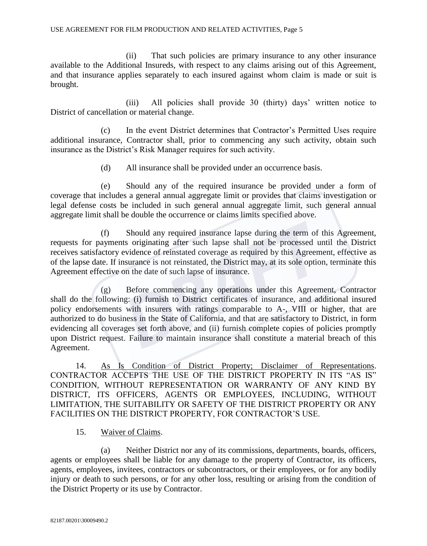(ii) That such policies are primary insurance to any other insurance available to the Additional Insureds, with respect to any claims arising out of this Agreement, and that insurance applies separately to each insured against whom claim is made or suit is brought.

(iii) All policies shall provide 30 (thirty) days' written notice to District of cancellation or material change.

(c) In the event District determines that Contractor's Permitted Uses require additional insurance, Contractor shall, prior to commencing any such activity, obtain such insurance as the District's Risk Manager requires for such activity.

(d) All insurance shall be provided under an occurrence basis.

(e) Should any of the required insurance be provided under a form of coverage that includes a general annual aggregate limit or provides that claims investigation or legal defense costs be included in such general annual aggregate limit, such general annual aggregate limit shall be double the occurrence or claims limits specified above.

(f) Should any required insurance lapse during the term of this Agreement, requests for payments originating after such lapse shall not be processed until the District receives satisfactory evidence of reinstated coverage as required by this Agreement, effective as of the lapse date. If insurance is not reinstated, the District may, at its sole option, terminate this Agreement effective on the date of such lapse of insurance.

(g) Before commencing any operations under this Agreement, Contractor shall do the following: (i) furnish to District certificates of insurance, and additional insured policy endorsements with insurers with ratings comparable to A-, VIII or higher, that are authorized to do business in the State of California, and that are satisfactory to District, in form evidencing all coverages set forth above, and (ii) furnish complete copies of policies promptly upon District request. Failure to maintain insurance shall constitute a material breach of this Agreement.

14. As Is Condition of District Property; Disclaimer of Representations. CONTRACTOR ACCEPTS THE USE OF THE DISTRICT PROPERTY IN ITS "AS IS" CONDITION, WITHOUT REPRESENTATION OR WARRANTY OF ANY KIND BY DISTRICT, ITS OFFICERS, AGENTS OR EMPLOYEES, INCLUDING, WITHOUT LIMITATION, THE SUITABILITY OR SAFETY OF THE DISTRICT PROPERTY OR ANY FACILITIES ON THE DISTRICT PROPERTY, FOR CONTRACTOR'S USE.

### 15. Waiver of Claims.

(a) Neither District nor any of its commissions, departments, boards, officers, agents or employees shall be liable for any damage to the property of Contractor, its officers, agents, employees, invitees, contractors or subcontractors, or their employees, or for any bodily injury or death to such persons, or for any other loss, resulting or arising from the condition of the District Property or its use by Contractor.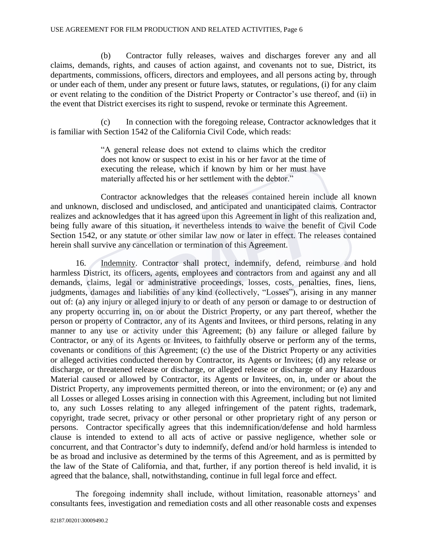(b) Contractor fully releases, waives and discharges forever any and all claims, demands, rights, and causes of action against, and covenants not to sue, District, its departments, commissions, officers, directors and employees, and all persons acting by, through or under each of them, under any present or future laws, statutes, or regulations, (i) for any claim or event relating to the condition of the District Property or Contractor's use thereof, and (ii) in the event that District exercises its right to suspend, revoke or terminate this Agreement.

(c) In connection with the foregoing release, Contractor acknowledges that it is familiar with Section 1542 of the California Civil Code, which reads:

> "A general release does not extend to claims which the creditor does not know or suspect to exist in his or her favor at the time of executing the release, which if known by him or her must have materially affected his or her settlement with the debtor."

Contractor acknowledges that the releases contained herein include all known and unknown, disclosed and undisclosed, and anticipated and unanticipated claims. Contractor realizes and acknowledges that it has agreed upon this Agreement in light of this realization and, being fully aware of this situation, it nevertheless intends to waive the benefit of Civil Code Section 1542, or any statute or other similar law now or later in effect. The releases contained herein shall survive any cancellation or termination of this Agreement.

16. Indemnity. Contractor shall protect, indemnify, defend, reimburse and hold harmless District, its officers, agents, employees and contractors from and against any and all demands, claims, legal or administrative proceedings, losses, costs, penalties, fines, liens, judgments, damages and liabilities of any kind (collectively, "Losses"), arising in any manner out of: (a) any injury or alleged injury to or death of any person or damage to or destruction of any property occurring in, on or about the District Property, or any part thereof, whether the person or property of Contractor, any of its Agents and Invitees, or third persons, relating in any manner to any use or activity under this Agreement; (b) any failure or alleged failure by Contractor, or any of its Agents or Invitees, to faithfully observe or perform any of the terms, covenants or conditions of this Agreement; (c) the use of the District Property or any activities or alleged activities conducted thereon by Contractor, its Agents or Invitees; (d) any release or discharge, or threatened release or discharge, or alleged release or discharge of any Hazardous Material caused or allowed by Contractor, its Agents or Invitees, on, in, under or about the District Property, any improvements permitted thereon, or into the environment; or (e) any and all Losses or alleged Losses arising in connection with this Agreement, including but not limited to, any such Losses relating to any alleged infringement of the patent rights, trademark, copyright, trade secret, privacy or other personal or other proprietary right of any person or persons. Contractor specifically agrees that this indemnification/defense and hold harmless clause is intended to extend to all acts of active or passive negligence, whether sole or concurrent, and that Contractor's duty to indemnify, defend and/or hold harmless is intended to be as broad and inclusive as determined by the terms of this Agreement, and as is permitted by the law of the State of California, and that, further, if any portion thereof is held invalid, it is agreed that the balance, shall, notwithstanding, continue in full legal force and effect.

The foregoing indemnity shall include, without limitation, reasonable attorneys' and consultants fees, investigation and remediation costs and all other reasonable costs and expenses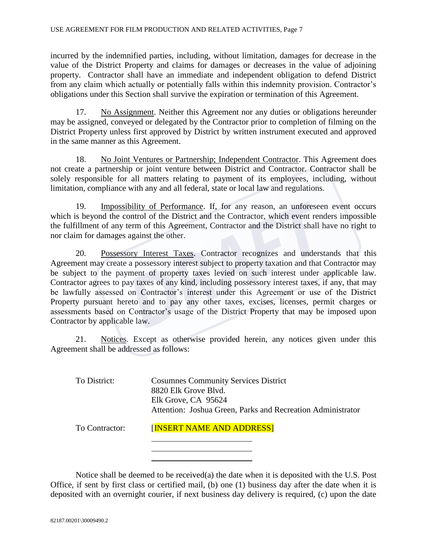incurred by the indemnified parties, including, without limitation, damages for decrease in the value of the District Property and claims for damages or decreases in the value of adjoining property. Contractor shall have an immediate and independent obligation to defend District from any claim which actually or potentially falls within this indemnity provision. Contractor's obligations under this Section shall survive the expiration or termination of this Agreement.

17. No Assignment. Neither this Agreement nor any duties or obligations hereunder may be assigned, conveyed or delegated by the Contractor prior to completion of filming on the District Property unless first approved by District by written instrument executed and approved in the same manner as this Agreement.

18. No Joint Ventures or Partnership; Independent Contractor. This Agreement does not create a partnership or joint venture between District and Contractor. Contractor shall be solely responsible for all matters relating to payment of its employees, including, without limitation, compliance with any and all federal, state or local law and regulations.

19. Impossibility of Performance. If, for any reason, an unforeseen event occurs which is beyond the control of the District and the Contractor, which event renders impossible the fulfillment of any term of this Agreement, Contractor and the District shall have no right to nor claim for damages against the other.

20. Possessory Interest Taxes. Contractor recognizes and understands that this Agreement may create a possessory interest subject to property taxation and that Contractor may be subject to the payment of property taxes levied on such interest under applicable law. Contractor agrees to pay taxes of any kind, including possessory interest taxes, if any, that may be lawfully assessed on Contractor's interest under this Agreement or use of the District Property pursuant hereto and to pay any other taxes, excises, licenses, permit charges or assessments based on Contractor's usage of the District Property that may be imposed upon Contractor by applicable law.

21. Notices. Except as otherwise provided herein, any notices given under this Agreement shall be addressed as follows:

To District: Cosumnes Community Services District 8820 Elk Grove Blvd. Elk Grove, CA 95624 Attention: Joshua Green, Parks and Recreation Administrator

To Contractor: [INSERT NAME AND ADDRESS]

Notice shall be deemed to be received(a) the date when it is deposited with the U.S. Post Office, if sent by first class or certified mail, (b) one (1) business day after the date when it is deposited with an overnight courier, if next business day delivery is required, (c) upon the date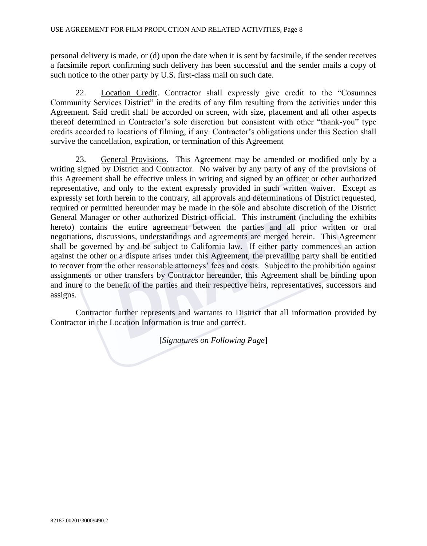personal delivery is made, or (d) upon the date when it is sent by facsimile, if the sender receives a facsimile report confirming such delivery has been successful and the sender mails a copy of such notice to the other party by U.S. first-class mail on such date.

22. Location Credit. Contractor shall expressly give credit to the "Cosumnes Community Services District" in the credits of any film resulting from the activities under this Agreement. Said credit shall be accorded on screen, with size, placement and all other aspects thereof determined in Contractor's sole discretion but consistent with other "thank-you" type credits accorded to locations of filming, if any. Contractor's obligations under this Section shall survive the cancellation, expiration, or termination of this Agreement

23. General Provisions. This Agreement may be amended or modified only by a writing signed by District and Contractor. No waiver by any party of any of the provisions of this Agreement shall be effective unless in writing and signed by an officer or other authorized representative, and only to the extent expressly provided in such written waiver. Except as expressly set forth herein to the contrary, all approvals and determinations of District requested, required or permitted hereunder may be made in the sole and absolute discretion of the District General Manager or other authorized District official. This instrument (including the exhibits hereto) contains the entire agreement between the parties and all prior written or oral negotiations, discussions, understandings and agreements are merged herein. This Agreement shall be governed by and be subject to California law. If either party commences an action against the other or a dispute arises under this Agreement, the prevailing party shall be entitled to recover from the other reasonable attorneys' fees and costs. Subject to the prohibition against assignments or other transfers by Contractor hereunder, this Agreement shall be binding upon and inure to the benefit of the parties and their respective heirs, representatives, successors and assigns.

Contractor further represents and warrants to District that all information provided by Contractor in the Location Information is true and correct.

[*Signatures on Following Page*]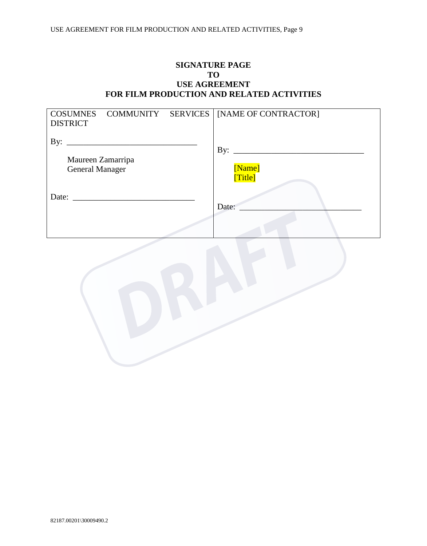### **SIGNATURE PAGE TO USE AGREEMENT FOR FILM PRODUCTION AND RELATED ACTIVITIES**

| COSUMNES COMMUNITY SERVICES   [NAME OF CONTRACTOR]<br><b>DISTRICT</b> |                  |
|-----------------------------------------------------------------------|------------------|
| By:<br>Maureen Zamarripa<br><b>General Manager</b>                    | By:<br>[Name]    |
| Date:                                                                 | [Title]<br>Date: |
|                                                                       |                  |

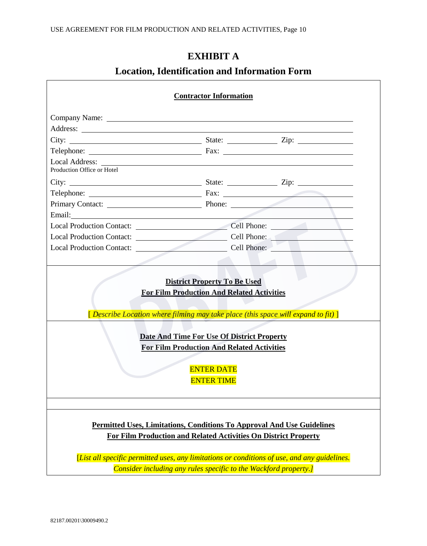# **EXHIBIT A**

# **Location, Identification and Information Form**

|                                                                                                                                                                                                                                      | <b>Contractor Information</b>                                                                                                                                                                                                                                                   |                                                                                              |  |
|--------------------------------------------------------------------------------------------------------------------------------------------------------------------------------------------------------------------------------------|---------------------------------------------------------------------------------------------------------------------------------------------------------------------------------------------------------------------------------------------------------------------------------|----------------------------------------------------------------------------------------------|--|
|                                                                                                                                                                                                                                      |                                                                                                                                                                                                                                                                                 |                                                                                              |  |
|                                                                                                                                                                                                                                      |                                                                                                                                                                                                                                                                                 |                                                                                              |  |
|                                                                                                                                                                                                                                      |                                                                                                                                                                                                                                                                                 |                                                                                              |  |
| Telephone: Fax: Fax:                                                                                                                                                                                                                 |                                                                                                                                                                                                                                                                                 |                                                                                              |  |
| Local Address:<br>Production Office or Hotel                                                                                                                                                                                         |                                                                                                                                                                                                                                                                                 |                                                                                              |  |
|                                                                                                                                                                                                                                      |                                                                                                                                                                                                                                                                                 |                                                                                              |  |
| Telephone: Fax: Fax:                                                                                                                                                                                                                 |                                                                                                                                                                                                                                                                                 |                                                                                              |  |
| Primary Contact: Phone: Phone:                                                                                                                                                                                                       |                                                                                                                                                                                                                                                                                 |                                                                                              |  |
| Email: <u>Alexander and the second contract of the second contract of the second contract of the second contract of the second contract of the second contract of the second contract of the second contract of the second contr</u> |                                                                                                                                                                                                                                                                                 |                                                                                              |  |
|                                                                                                                                                                                                                                      | Local Production Contact: Cell Phone: Cell Phone:                                                                                                                                                                                                                               |                                                                                              |  |
|                                                                                                                                                                                                                                      | Local Production Contact: Cell Phone: Cell Phone:                                                                                                                                                                                                                               |                                                                                              |  |
|                                                                                                                                                                                                                                      | Local Production Contact: Cell Phone: Cell Phone:                                                                                                                                                                                                                               |                                                                                              |  |
|                                                                                                                                                                                                                                      | <b>District Property To Be Used</b><br><b>For Film Production And Related Activities</b><br>[Describe Location where filming may take place (this space will expand to fit)]<br>Date And Time For Use Of District Property<br><b>For Film Production And Related Activities</b> |                                                                                              |  |
|                                                                                                                                                                                                                                      | <b>ENTER DATE</b><br><b>ENTER TIME</b>                                                                                                                                                                                                                                          |                                                                                              |  |
|                                                                                                                                                                                                                                      | Permitted Uses, Limitations, Conditions To Approval And Use Guidelines<br>For Film Production and Related Activities On District Property                                                                                                                                       |                                                                                              |  |
|                                                                                                                                                                                                                                      |                                                                                                                                                                                                                                                                                 | [List all specific permitted uses, any limitations or conditions of use, and any guidelines. |  |
|                                                                                                                                                                                                                                      | Consider including any rules specific to the Wackford property.]                                                                                                                                                                                                                |                                                                                              |  |